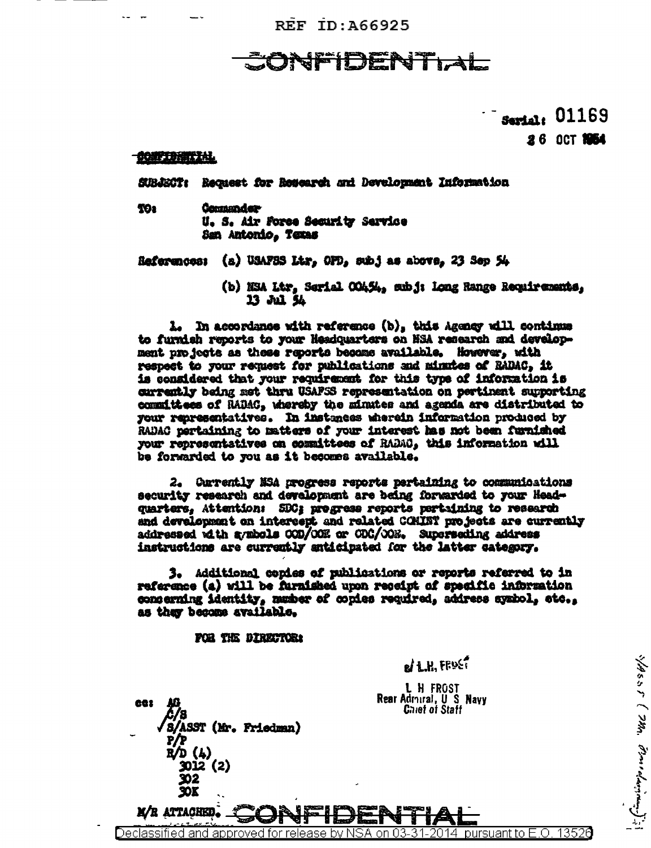**REF ID: A66925** 

Serial: 01169

**26 OCT 1954** 

MSSS ( Mm. Pomedarian);

## **CONFIDENTIAL**

SUBJECT: Request for Research and Development Information

TO: **Commander** U. S. Air Force Security Service San Antonio, Texas

References: (a) USAFSS Ltr, OPD, subj as above, 23 Sep 54

(b) NSA Ltr, Serial COAS4, subj: Long Range Recuirements, 13 Jul 54

1. In accordance with reference (b), this Agency will continue to furnish reports to your Headquarters on NSA research and development projects as these reports become available. However, with respect to your request for publications and minutes of RADAC, it is considered that your requirement for this type of information is currently being net thru USAFSS representation on pertinent supporting committees of RADAC, whereby the minutes and agenda are distributed to your representatives. In instances wherein information produced by RADAC pertaining to matters of your interest has not been furnished your representatives on committees of RADAC, this information will be forwarded to you as it becomes available.

2. Carrently NSA progress reports pertaining to communications security research and development are being forwarded to your Headquarters, Attention: SDC: progress reports pertaining to research and development on intercept and related COMINT projects are currently addressed with avabols COD/OOK or CDC/OOK. Superseding address instructions are currently anticipated for the latter category.

3. Additional copies of publications or reports referred to in reference (a) will be furnished upon receipt of specific information concerning identity, masher of copies required, address systol, etc., as they become available.

Declassified and approved for release by NSA on 03-31-2014 pursuant to E.O. 13526

FOR THE DIRECTOR:

'S/ASST (Mr. Friedman)

R/D (4) 3012 (2)

X)<br>XX

M/R ATTACHED.

681

 $d$  L.H. FRUST

L H FROST Rear Admiral, U S Navy **Chief of Staff**